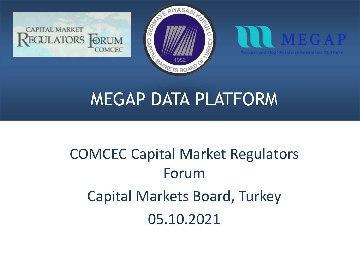





# COMCEC Capital Market Regulators Forum Capital Markets Board, Turkey 05.10.2021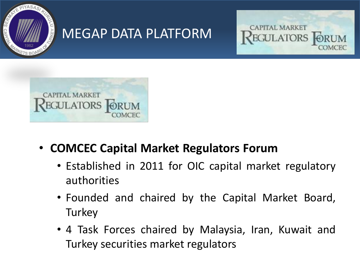





- **COMCEC Capital Market Regulators Forum**
	- Established in 2011 for OIC capital market regulatory authorities
	- Founded and chaired by the Capital Market Board, **Turkey**
	- 4 Task Forces chaired by Malaysia, Iran, Kuwait and Turkey securities market regulators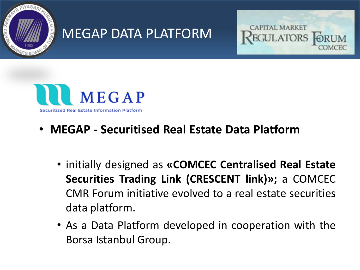





#### • **MEGAP - Securitised Real Estate Data Platform**

- initially designed as **«COMCEC Centralised Real Estate Securities Trading Link (CRESCENT link)»;** a COMCEC CMR Forum initiative evolved to a real estate securities data platform.
- As a Data Platform developed in cooperation with the Borsa Istanbul Group.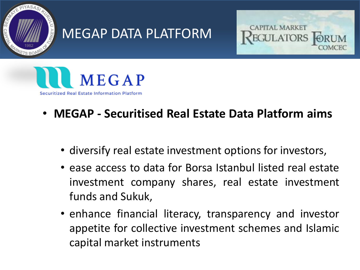





#### • **MEGAP - Securitised Real Estate Data Platform aims**

- diversify real estate investment options for investors,
- ease access to data for Borsa Istanbul listed real estate investment company shares, real estate investment funds and Sukuk,
- enhance financial literacy, transparency and investor appetite for collective investment schemes and Islamic capital market instruments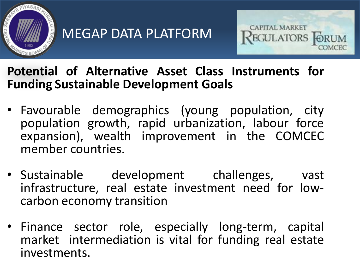



#### **Potential of Alternative Asset Class Instruments for Funding Sustainable Development Goals**

- Favourable demographics (young population, city population growth, rapid urbanization, labour force expansion), wealth improvement in the COMCEC member countries.
- Sustainable development challenges, vast infrastructure, real estate investment need for lowcarbon economy transition
- Finance sector role, especially long-term, capital market intermediation is vital for funding real estate investments.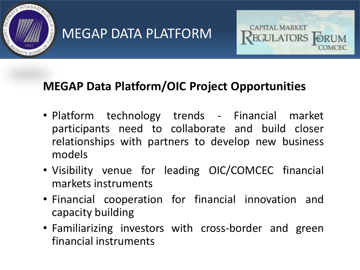



#### **MEGAP Data Platform/OIC Project Opportunities**

- Platform technology trends Financial market participants need to collaborate and build closer relationships with partners to develop new business models
- Visibility venue for leading OIC/COMCEC financial markets instruments
- Financial cooperation for financial innovation and capacity building
- Familiarizing investors with cross-border and green financial instruments